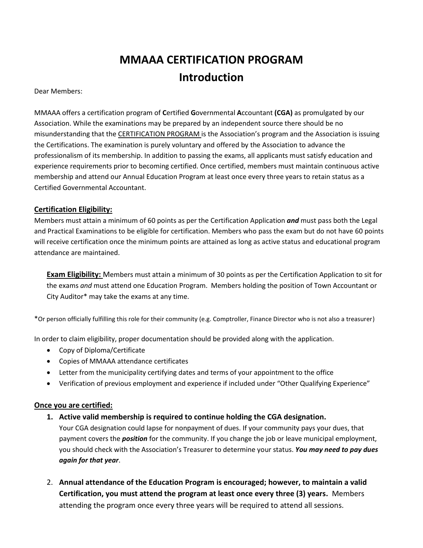# **MMAAA CERTIFICATION PROGRAM Introduction**

Dear Members:

MMAAA offers a certification program of **C**ertified **G**overnmental **A**ccountant **(CGA)** as promulgated by our Association. While the examinations may be prepared by an independent source there should be no misunderstanding that the CERTIFICATION PROGRAM is the Association's program and the Association is issuing the Certifications. The examination is purely voluntary and offered by the Association to advance the professionalism of its membership. In addition to passing the exams, all applicants must satisfy education and experience requirements prior to becoming certified. Once certified, members must maintain continuous active membership and attend our Annual Education Program at least once every three years to retain status as a Certified Governmental Accountant.

## **Certification Eligibility:**

Members must attain a minimum of 60 points as per the Certification Application *and* must pass both the Legal and Practical Examinations to be eligible for certification. Members who pass the exam but do not have 60 points will receive certification once the minimum points are attained as long as active status and educational program attendance are maintained.

**Exam Eligibility:** Members must attain a minimum of 30 points as per the Certification Application to sit for the exams *and* must attend one Education Program. Members holding the position of Town Accountant or City Auditor\* may take the exams at any time.

\*Or person officially fulfilling this role for their community (e.g. Comptroller, Finance Director who is not also a treasurer)

In order to claim eligibility, proper documentation should be provided along with the application.

- Copy of Diploma/Certificate
- Copies of MMAAA attendance certificates
- Letter from the municipality certifying dates and terms of your appointment to the office
- Verification of previous employment and experience if included under "Other Qualifying Experience"

#### **Once you are certified:**

**1. Active valid membership is required to continue holding the CGA designation.**

Your CGA designation could lapse for nonpayment of dues. If your community pays your dues, that payment covers the *position* for the community. If you change the job or leave municipal employment, you should check with the Association's Treasurer to determine your status. *You may need to pay dues again for that year*.

2. **Annual attendance of the Education Program is encouraged; however, to maintain a valid Certification, you must attend the program at least once every three (3) years.** Members attending the program once every three years will be required to attend all sessions.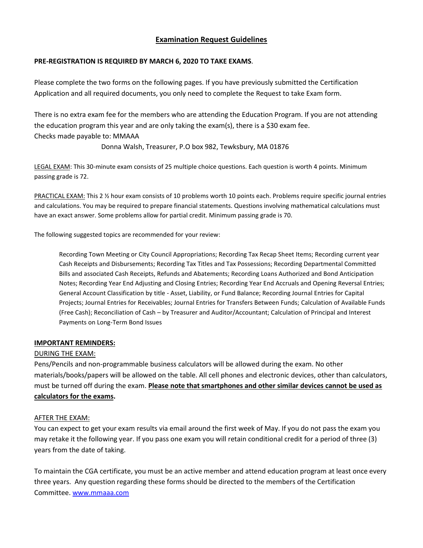## **Examination Request Guidelines**

#### **PRE-REGISTRATION IS REQUIRED BY MARCH 6, 2020 TO TAKE EXAMS**.

Please complete the two forms on the following pages. If you have previously submitted the Certification Application and all required documents, you only need to complete the Request to take Exam form.

There is no extra exam fee for the members who are attending the Education Program. If you are not attending the education program this year and are only taking the exam(s), there is a \$30 exam fee. Checks made payable to: MMAAA

Donna Walsh, Treasurer, P.O box 982, Tewksbury, MA 01876

LEGAL EXAM: This 30-minute exam consists of 25 multiple choice questions. Each question is worth 4 points. Minimum passing grade is 72.

PRACTICAL EXAM: This 2 % hour exam consists of 10 problems worth 10 points each. Problems require specific journal entries and calculations. You may be required to prepare financial statements. Questions involving mathematical calculations must have an exact answer. Some problems allow for partial credit. Minimum passing grade is 70.

The following suggested topics are recommended for your review:

Recording Town Meeting or City Council Appropriations; Recording Tax Recap Sheet Items; Recording current year Cash Receipts and Disbursements; Recording Tax Titles and Tax Possessions; Recording Departmental Committed Bills and associated Cash Receipts, Refunds and Abatements; Recording Loans Authorized and Bond Anticipation Notes; Recording Year End Adjusting and Closing Entries; Recording Year End Accruals and Opening Reversal Entries; General Account Classification by title - Asset, Liability, or Fund Balance; Recording Journal Entries for Capital Projects; Journal Entries for Receivables; Journal Entries for Transfers Between Funds; Calculation of Available Funds (Free Cash); Reconciliation of Cash – by Treasurer and Auditor/Accountant; Calculation of Principal and Interest Payments on Long-Term Bond Issues

#### **IMPORTANT REMINDERS:**

#### DURING THE EXAM:

Pens/Pencils and non-programmable business calculators will be allowed during the exam. No other materials/books/papers will be allowed on the table. All cell phones and electronic devices, other than calculators, must be turned off during the exam. **Please note that smartphones and other similar devices cannot be used as calculators for the exams.**

#### AFTER THE EXAM:

You can expect to get your exam results via email around the first week of May. If you do not pass the exam you may retake it the following year. If you pass one exam you will retain conditional credit for a period of three (3) years from the date of taking.

To maintain the CGA certificate, you must be an active member and attend education program at least once every three years. Any question regarding these forms should be directed to the members of the Certification Committee. [www.mmaaa.com](file:///C:/Users/jcronin/AppData/Local/Microsoft/Windows/Temporary%20Internet%20Files/Content.Outlook/YBCZZHTD/www.mmaaa.com)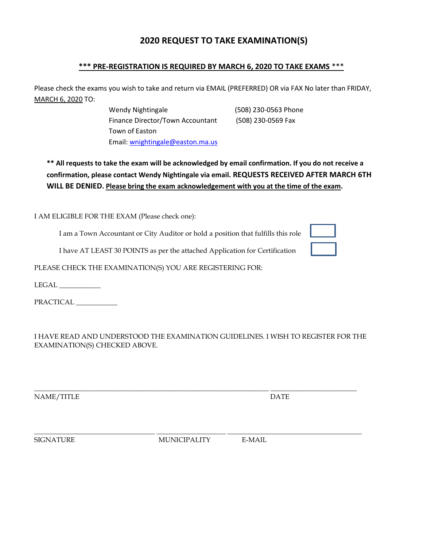# **2020 REQUEST TO TAKE EXAMINATION(S)**

## **\*\*\* PRE-REGISTRATION IS REQUIRED BY MARCH 6, 2020 TO TAKE EXAMS** \*\*\*

Please check the exams you wish to take and return via EMAIL (PREFERRED) OR via FAX No later than FRIDAY, MARCH 6, 2020 TO:

> Wendy Nightingale (508) 230-0563 Phone Finance Director/Town Accountant (508) 230-0569 Fax Town of Easton Email[: wnightingale@easton.ma.us](mailto:wnightingale@easton.ma.us)

**\*\* All requests to take the exam will be acknowledged by email confirmation. If you do not receive a confirmation, please contact Wendy Nightingale via email. REQUESTS RECEIVED AFTER MARCH 6TH WILL BE DENIED. Please bring the exam acknowledgement with you at the time of the exam.**

I AM ELIGIBLE FOR THE EXAM (Please check one):

I am a Town Accountant or City Auditor or hold a position that fulfills this role

I have AT LEAST 30 POINTS as per the attached Application for Certification

PLEASE CHECK THE EXAMINATION(S) YOU ARE REGISTERING FOR:

LEGAL \_\_\_\_\_\_\_\_\_\_\_\_

PRACTICAL \_\_\_\_\_\_\_\_\_\_\_\_

I HAVE READ AND UNDERSTOOD THE EXAMINATION GUIDELINES. I WISH TO REGISTER FOR THE EXAMINATION(S) CHECKED ABOVE.

NAME/TITLE DATE

\_\_\_\_\_\_\_\_\_\_\_\_\_\_\_\_\_\_\_\_\_\_\_\_\_\_\_\_\_\_\_\_\_\_\_ \_\_\_\_\_\_\_\_\_\_\_\_\_\_\_\_\_\_\_\_ \_\_\_\_\_\_\_\_\_\_\_\_\_\_\_\_\_\_\_\_\_\_\_\_\_\_\_\_\_\_\_\_\_\_\_\_\_\_\_ SIGNATURE MUNICIPALITY E-MAIL

 $\overline{\phantom{a}}$  , and the set of the set of the set of the set of the set of the set of the set of the set of the set of the set of the set of the set of the set of the set of the set of the set of the set of the set of the s